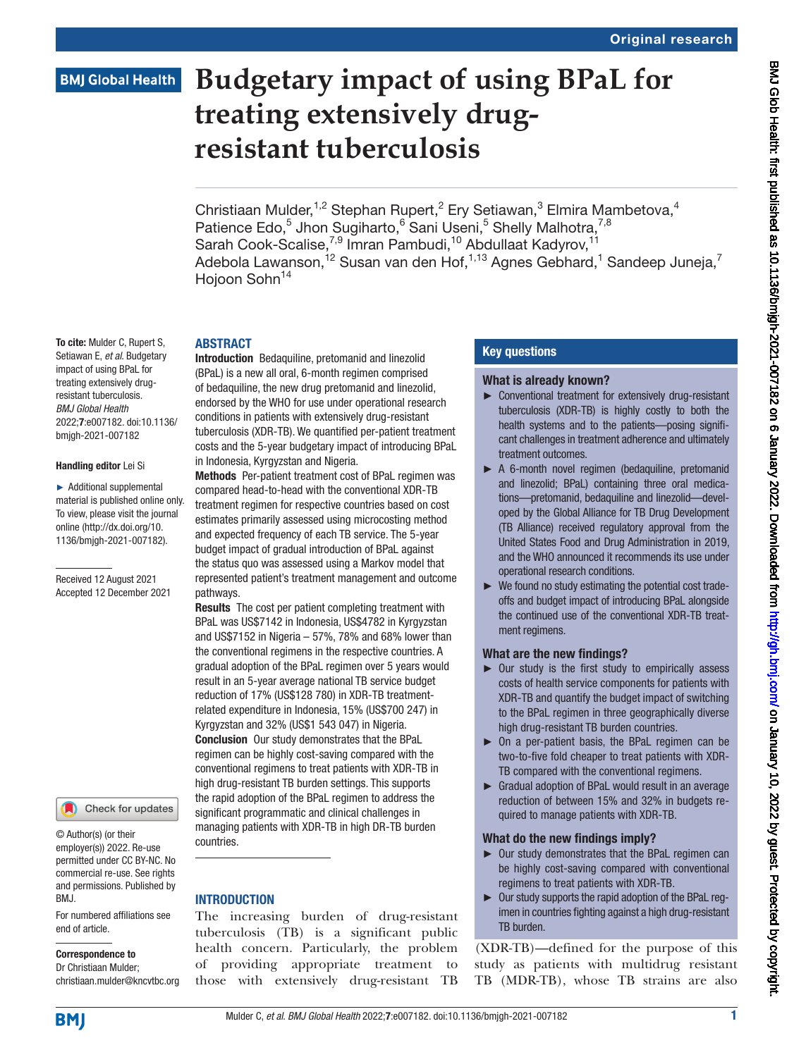# **BMJ Global Health**

To cite: Mulder C, Rupert S, Setiawan E, *et al*. Budgetary impact of using BPaL for treating extensively drugresistant tuberculosis. *BMJ Global Health*

2022;7:e007182. doi:10.1136/ bmjgh-2021-007182

Handling editor Lei Si ► Additional supplemental material is published online only. To view, please visit the journal online ([http://dx.doi.org/10.](http://dx.doi.org/10.1136/bmjgh-2021-007182) [1136/bmjgh-2021-007182](http://dx.doi.org/10.1136/bmjgh-2021-007182)).

Received 12 August 2021 Accepted 12 December 2021

# **Budgetary impact of using BPaL for treating extensively drugresistant tuberculosis**

Christiaan Mulder,<sup>1,2</sup> Stephan Rupert,<sup>2</sup> Ery Setiawan,<sup>3</sup> Elmira Mambetova,<sup>4</sup> Patience Edo,<sup>5</sup> Jhon Sugiharto,<sup>6</sup> Sani Useni,<sup>5</sup> Shelly Malhotra,<sup>7,8</sup> Sarah Cook-Scalise,<sup>7,9</sup> Imran Pambudi,<sup>10</sup> Abdullaat Kadyrov,<sup>11</sup> Adebola Lawanson, $^{12}$  Susan van den Hof, $^{1,13}$  Agnes Gebhard, $^{1}$  Sandeep Juneja, $^{7}$ Hojoon Sohn<sup>14</sup>

#### ABSTRACT

Introduction Bedaquiline, pretomanid and linezolid (BPaL) is a new all oral, 6-month regimen comprised of bedaquiline, the new drug pretomanid and linezolid, endorsed by the WHO for use under operational research conditions in patients with extensively drug-resistant tuberculosis (XDR-TB). We quantified per-patient treatment costs and the 5-year budgetary impact of introducing BPaL in Indonesia, Kyrgyzstan and Nigeria.

Methods Per-patient treatment cost of BPaL regimen was compared head-to-head with the conventional XDR-TB treatment regimen for respective countries based on cost estimates primarily assessed using microcosting method and expected frequency of each TB service. The 5-year budget impact of gradual introduction of BPaL against the status quo was assessed using a Markov model that represented patient's treatment management and outcome pathways.

Results The cost per patient completing treatment with BPaL was US\$7142 in Indonesia, US\$4782 in Kyrgyzstan and US\$7152 in Nigeria – 57%, 78% and 68% lower than the conventional regimens in the respective countries. A gradual adoption of the BPaL regimen over 5 years would result in an 5-year average national TB service budget reduction of 17% (US\$128 780) in XDR-TB treatmentrelated expenditure in Indonesia, 15% (US\$700 247) in Kyrgyzstan and 32% (US\$1 543 047) in Nigeria. Conclusion Our study demonstrates that the BPaL regimen can be highly cost-saving compared with the conventional regimens to treat patients with XDR-TB in high drug-resistant TB burden settings. This supports the rapid adoption of the BPaL regimen to address the significant programmatic and clinical challenges in managing patients with XDR-TB in high DR-TB burden countries.

## **INTRODUCTION**

The increasing burden of drug-resistant tuberculosis (TB) is a significant public health concern. Particularly, the problem of providing appropriate treatment to those with extensively drug-resistant TB

## Key questions

#### What is already known?

- ► Conventional treatment for extensively drug-resistant tuberculosis (XDR-TB) is highly costly to both the health systems and to the patients—posing significant challenges in treatment adherence and ultimately treatment outcomes.
- ► A 6-month novel regimen (bedaquiline, pretomanid and linezolid; BPaL) containing three oral medications—pretomanid, bedaquiline and linezolid—developed by the Global Alliance for TB Drug Development (TB Alliance) received regulatory approval from the United States Food and Drug Administration in 2019, and the WHO announced it recommends its use under operational research conditions.
- ► We found no study estimating the potential cost tradeoffs and budget impact of introducing BPaL alongside the continued use of the conventional XDR-TB treatment regimens.

#### What are the new findings?

- $\triangleright$  Our study is the first study to empirically assess costs of health service components for patients with XDR-TB and quantify the budget impact of switching to the BPaL regimen in three geographically diverse high drug-resistant TB burden countries.
- ► On a per-patient basis, the BPaL regimen can be two-to-five fold cheaper to treat patients with XDR-TB compared with the conventional regimens.
- ► Gradual adoption of BPaL would result in an average reduction of between 15% and 32% in budgets required to manage patients with XDR-TB.

#### What do the new findings imply?

- ► Our study demonstrates that the BPaL regimen can be highly cost-saving compared with conventional regimens to treat patients with XDR-TB.
- ► Our study supports the rapid adoption of the BPaL regimen in countries fighting against a high drug-resistant TB burden.

(XDR-TB)—defined for the purpose of this study as patients with multidrug resistant TB (MDR-TB), whose TB strains are also

BMJ.

© Author(s) (or their employer(s)) 2022. Re-use permitted under CC BY-NC. No commercial re-use. See rights and permissions. Published by

Check for updates

#### For numbered affiliations see end of article.

Correspondence to Dr Christiaan Mulder; christiaan.mulder@kncvtbc.org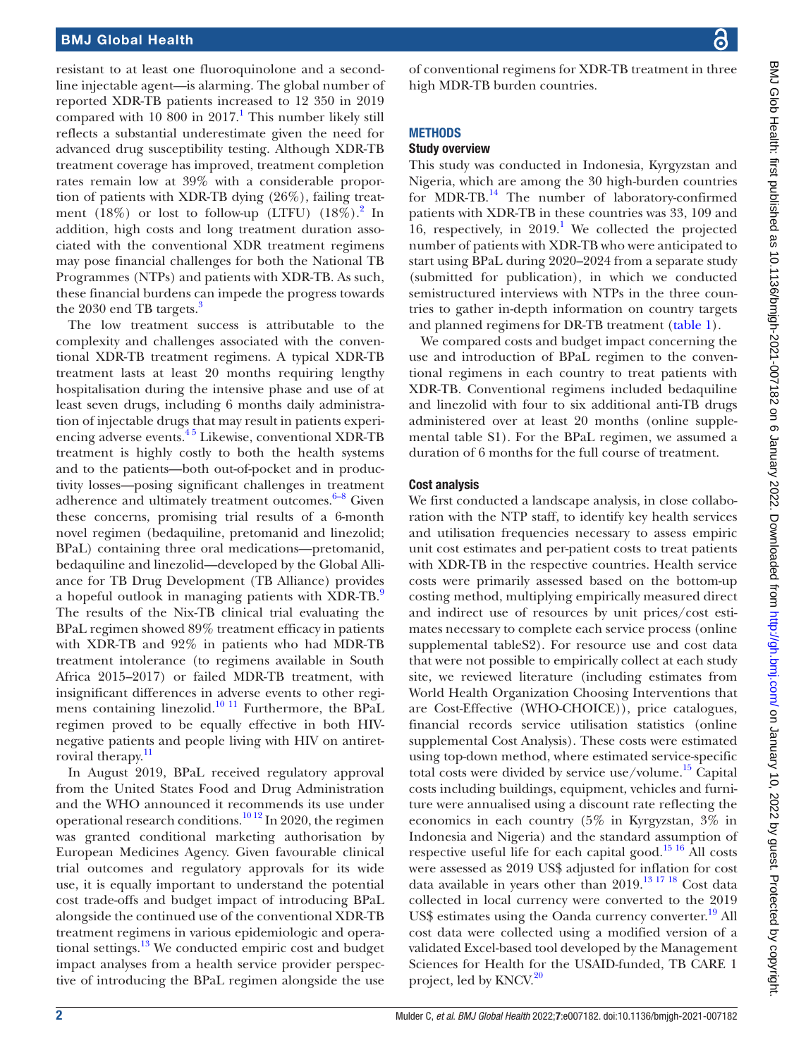resistant to at least one fluoroquinolone and a secondline injectable agent—is alarming. The global number of reported XDR-TB patients increased to 12 350 in 2019 compared with  $10\ 800$  $10\ 800$  in  $2017<sup>1</sup>$ . This number likely still reflects a substantial underestimate given the need for advanced drug susceptibility testing. Although XDR-TB treatment coverage has improved, treatment completion rates remain low at 39% with a considerable proportion of patients with XDR-TB dying (26%), failing treatment  $(18%)$  or lost to follow-up (LTFU)  $(18%)$ .<sup>[2](#page-7-1)</sup> In addition, high costs and long treatment duration associated with the conventional XDR treatment regimens may pose financial challenges for both the National TB Programmes (NTPs) and patients with XDR-TB. As such, these financial burdens can impede the progress towards the 20[3](#page-7-2)0 end TB targets.<sup>3</sup>

The low treatment success is attributable to the complexity and challenges associated with the conventional XDR-TB treatment regimens. A typical XDR-TB treatment lasts at least 20 months requiring lengthy hospitalisation during the intensive phase and use of at least seven drugs, including 6 months daily administration of injectable drugs that may result in patients experiencing adverse events.[4 5](#page-7-3) Likewise, conventional XDR-TB treatment is highly costly to both the health systems and to the patients—both out-of-pocket and in productivity losses—posing significant challenges in treatment adherence and ultimately treatment outcomes. $6-8$  Given these concerns, promising trial results of a 6-month novel regimen (bedaquiline, pretomanid and linezolid; BPaL) containing three oral medications—pretomanid, bedaquiline and linezolid—developed by the Global Alliance for TB Drug Development (TB Alliance) provides a hopeful outlook in managing patients with XDR-TB.<sup>[9](#page-7-5)</sup> The results of the Nix-TB clinical trial evaluating the BPaL regimen showed 89% treatment efficacy in patients with XDR-TB and 92% in patients who had MDR-TB treatment intolerance (to regimens available in South Africa 2015–2017) or failed MDR-TB treatment, with insignificant differences in adverse events to other regi-mens containing linezolid.<sup>[10 11](#page-7-6)</sup> Furthermore, the BPaL regimen proved to be equally effective in both HIVnegative patients and people living with HIV on antiret-roviral therapy.<sup>[11](#page-7-7)</sup>

In August 2019, BPaL received regulatory approval from the United States Food and Drug Administration and the WHO announced it recommends its use under operational research conditions.<sup>10 12</sup> In 2020, the regimen was granted conditional marketing authorisation by European Medicines Agency. Given favourable clinical trial outcomes and regulatory approvals for its wide use, it is equally important to understand the potential cost trade-offs and budget impact of introducing BPaL alongside the continued use of the conventional XDR-TB treatment regimens in various epidemiologic and operational settings. $^{13}$  We conducted empiric cost and budget impact analyses from a health service provider perspective of introducing the BPaL regimen alongside the use

of conventional regimens for XDR-TB treatment in three high MDR-TB burden countries.

# **METHODS**

#### Study overview

This study was conducted in Indonesia, Kyrgyzstan and Nigeria, which are among the 30 high-burden countries for MDR-TB. $^{14}$  The number of laboratory-confirmed patients with XDR-TB in these countries was 33, 109 and 16, respectively, in  $2019$ .<sup>1</sup> We collected the projected number of patients with XDR-TB who were anticipated to start using BPaL during 2020–2024 from a separate study (submitted for publication), in which we conducted semistructured interviews with NTPs in the three countries to gather in-depth information on country targets and planned regimens for DR-TB treatment [\(table](#page-2-0) 1).

We compared costs and budget impact concerning the use and introduction of BPaL regimen to the conventional regimens in each country to treat patients with XDR-TB. Conventional regimens included bedaquiline and linezolid with four to six additional anti-TB drugs administered over at least 20 months ([online supple](https://dx.doi.org/10.1136/bmjgh-2021-007182)[mental table S1](https://dx.doi.org/10.1136/bmjgh-2021-007182)). For the BPaL regimen, we assumed a duration of 6 months for the full course of treatment.

#### Cost analysis

We first conducted a landscape analysis, in close collaboration with the NTP staff, to identify key health services and utilisation frequencies necessary to assess empiric unit cost estimates and per-patient costs to treat patients with XDR-TB in the respective countries. Health service costs were primarily assessed based on the bottom-up costing method, multiplying empirically measured direct and indirect use of resources by unit prices/cost estimates necessary to complete each service process [\(online](https://dx.doi.org/10.1136/bmjgh-2021-007182) [supplemental tableS2](https://dx.doi.org/10.1136/bmjgh-2021-007182)). For resource use and cost data that were not possible to empirically collect at each study site, we reviewed literature (including estimates from World Health Organization Choosing Interventions that are Cost-Effective (WHO-CHOICE)), price catalogues, financial records service utilisation statistics [\(online](https://dx.doi.org/10.1136/bmjgh-2021-007182) [supplemental](https://dx.doi.org/10.1136/bmjgh-2021-007182) Cost Analysis). These costs were estimated using top-down method, where estimated service-specific total costs were divided by service use/volume. $15$  Capital costs including buildings, equipment, vehicles and furniture were annualised using a discount rate reflecting the economics in each country (5% in Kyrgyzstan, 3% in Indonesia and Nigeria) and the standard assumption of respective useful life for each capital good.<sup>15 16</sup> All costs were assessed as 2019 US\$ adjusted for inflation for cost data available in years other than 2019.<sup>[13 17 18](#page-7-8)</sup> Cost data collected in local currency were converted to the 2019 US\$ estimates using the Oanda currency converter.<sup>[19](#page-7-11)</sup> All cost data were collected using a modified version of a validated Excel-based tool developed by the Management Sciences for Health for the USAID-funded, TB CARE 1 project, led by KNCV.<sup>[20](#page-7-12)</sup>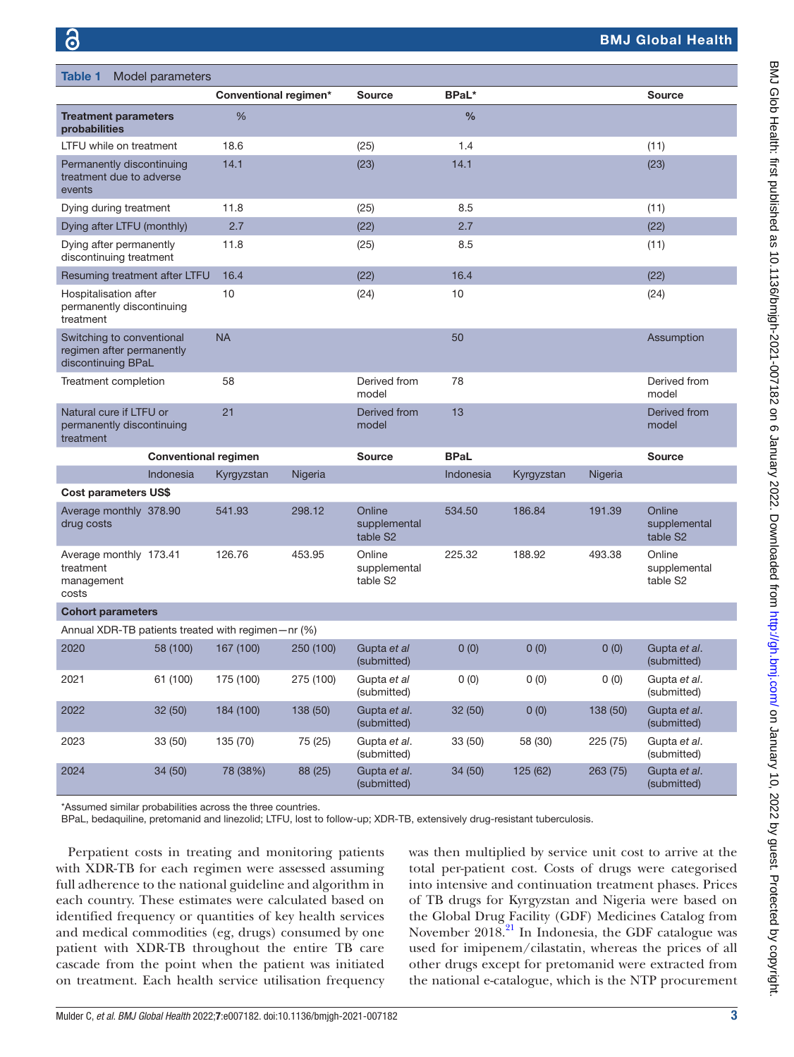<span id="page-2-0"></span>

| <b>Table 1</b><br>Model parameters                                           |                       |           |                                    |               |            |          |                                    |
|------------------------------------------------------------------------------|-----------------------|-----------|------------------------------------|---------------|------------|----------|------------------------------------|
|                                                                              | Conventional regimen* |           | <b>Source</b>                      | <b>BPaL*</b>  |            |          | <b>Source</b>                      |
| <b>Treatment parameters</b><br>probabilities                                 | %                     |           |                                    | $\frac{0}{0}$ |            |          |                                    |
| LTFU while on treatment                                                      | 18.6                  |           | (25)                               | 1.4           |            |          | (11)                               |
| Permanently discontinuing<br>treatment due to adverse<br>events              | 14.1                  |           | (23)                               | 14.1          |            |          | (23)                               |
| Dying during treatment                                                       | 11.8                  |           | (25)                               | 8.5           |            |          | (11)                               |
| Dying after LTFU (monthly)                                                   | 2.7                   |           | (22)                               | 2.7           |            |          | (22)                               |
| Dying after permanently<br>discontinuing treatment                           | 11.8                  |           | (25)                               | 8.5           |            |          | (11)                               |
| Resuming treatment after LTFU                                                | 16.4                  |           | (22)                               | 16.4          |            |          | (22)                               |
| Hospitalisation after<br>permanently discontinuing<br>treatment              | 10                    |           | (24)                               | 10            |            |          | (24)                               |
| Switching to conventional<br>regimen after permanently<br>discontinuing BPaL | <b>NA</b>             |           |                                    | 50            |            |          | Assumption                         |
| Treatment completion                                                         | 58                    |           | Derived from<br>model              | 78            |            |          | Derived from<br>model              |
| Natural cure if LTFU or<br>permanently discontinuing<br>treatment            | 21                    |           | Derived from<br>model              | 13            |            |          | Derived from<br>model              |
| <b>Conventional regimen</b>                                                  |                       |           | Source                             | <b>BPaL</b>   |            |          | <b>Source</b>                      |
| Indonesia                                                                    | Kyrgyzstan            | Nigeria   |                                    | Indonesia     | Kyrgyzstan | Nigeria  |                                    |
| <b>Cost parameters US\$</b>                                                  |                       |           |                                    |               |            |          |                                    |
| Average monthly 378.90<br>drug costs                                         | 541.93                | 298.12    | Online<br>supplemental<br>table S2 | 534.50        | 186.84     | 191.39   | Online<br>supplemental<br>table S2 |
| Average monthly 173.41<br>treatment<br>management<br>costs                   | 126.76                | 453.95    | Online<br>supplemental<br>table S2 | 225.32        | 188.92     | 493.38   | Online<br>supplemental<br>table S2 |
| <b>Cohort parameters</b>                                                     |                       |           |                                    |               |            |          |                                    |
| Annual XDR-TB patients treated with regimen-nr (%)                           |                       |           |                                    |               |            |          |                                    |
| 2020<br>58 (100)                                                             | 167 (100)             | 250 (100) | Gupta et al<br>(submitted)         | 0(0)          | 0(0)       | 0(0)     | Gupta et al.<br>(submitted)        |
| 61 (100)<br>2021                                                             | 175 (100)             | 275 (100) | Gupta et al<br>(submitted)         | 0(0)          | 0(0)       | 0(0)     | Gupta et al.<br>(submitted)        |
| 2022<br>32(50)                                                               | 184 (100)             | 138 (50)  | Gupta et al.<br>(submitted)        | 32 (50)       | 0(0)       | 138 (50) | Gupta et al.<br>(submitted)        |
| 2023<br>33 (50)                                                              | 135 (70)              | 75 (25)   | Gupta et al.<br>(submitted)        | 33(50)        | 58 (30)    | 225 (75) | Gupta et al.<br>(submitted)        |
| 2024<br>34 (50)                                                              | 78 (38%)              | 88 (25)   | Gupta et al.<br>(submitted)        | 34 (50)       | 125 (62)   | 263(75)  | Gupta et al.<br>(submitted)        |

\*Assumed similar probabilities across the three countries.

BPaL, bedaquiline, pretomanid and linezolid; LTFU, lost to follow-up; XDR-TB, extensively drug-resistant tuberculosis.

Perpatient costs in treating and monitoring patients with XDR-TB for each regimen were assessed assuming full adherence to the national guideline and algorithm in each country. These estimates were calculated based on identified frequency or quantities of key health services and medical commodities (eg, drugs) consumed by one patient with XDR-TB throughout the entire TB care cascade from the point when the patient was initiated on treatment. Each health service utilisation frequency was then multiplied by service unit cost to arrive at the total per-patient cost. Costs of drugs were categorised into intensive and continuation treatment phases. Prices of TB drugs for Kyrgyzstan and Nigeria were based on the Global Drug Facility (GDF) Medicines Catalog from November  $2018.<sup>21</sup>$  In Indonesia, the GDF catalogue was used for imipenem/cilastatin, whereas the prices of all other drugs except for pretomanid were extracted from the national e-catalogue, which is the NTP procurement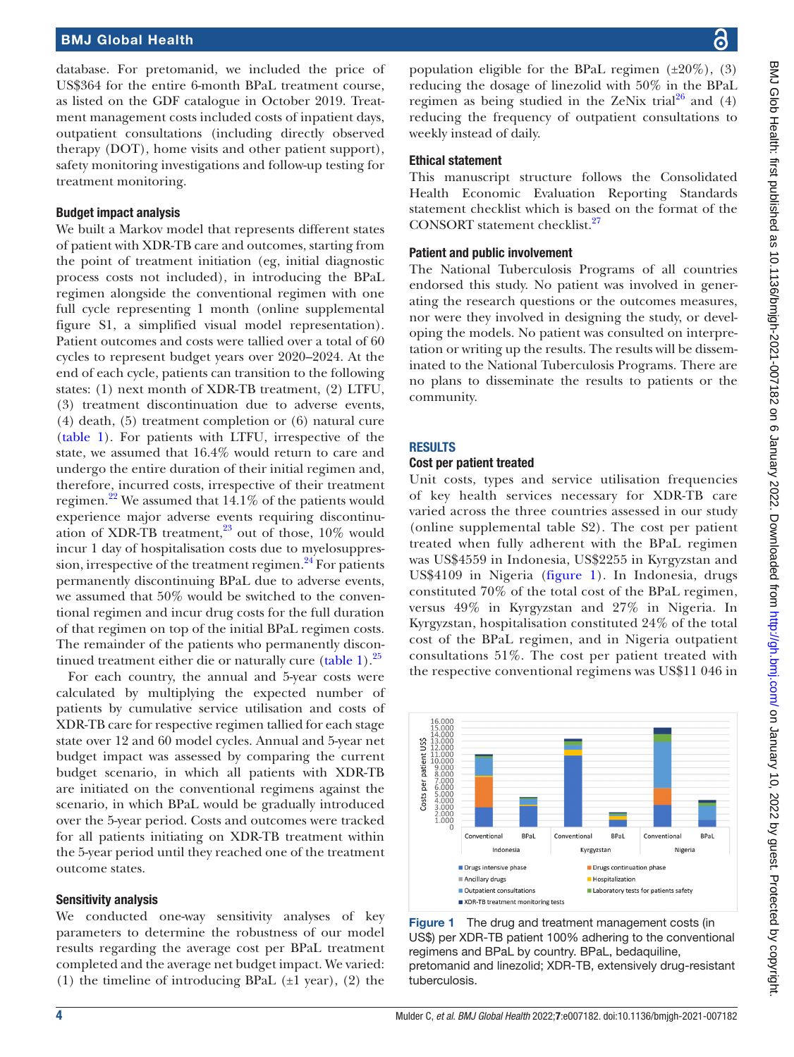database. For pretomanid, we included the price of US\$364 for the entire 6-month BPaL treatment course, as listed on the GDF catalogue in October 2019. Treatment management costs included costs of inpatient days, outpatient consultations (including directly observed therapy (DOT), home visits and other patient support), safety monitoring investigations and follow-up testing for treatment monitoring.

#### Budget impact analysis

We built a Markov model that represents different states of patient with XDR-TB care and outcomes, starting from the point of treatment initiation (eg, initial diagnostic process costs not included), in introducing the BPaL regimen alongside the conventional regimen with one full cycle representing 1 month [\(online supplemental](https://dx.doi.org/10.1136/bmjgh-2021-007182)  [figure S1,](https://dx.doi.org/10.1136/bmjgh-2021-007182) a simplified visual model representation). Patient outcomes and costs were tallied over a total of 60 cycles to represent budget years over 2020–2024. At the end of each cycle, patients can transition to the following states: (1) next month of XDR-TB treatment, (2) LTFU, (3) treatment discontinuation due to adverse events, (4) death, (5) treatment completion or (6) natural cure ([table](#page-2-0) 1). For patients with LTFU, irrespective of the state, we assumed that 16.4% would return to care and undergo the entire duration of their initial regimen and, therefore, incurred costs, irrespective of their treatment regimen.<sup>22</sup> We assumed that  $14.1\%$  of the patients would experience major adverse events requiring discontinuation of XDR-TB treatment, $^{23}$  out of those, 10% would incur 1 day of hospitalisation costs due to myelosuppression, irrespective of the treatment regimen. $^{24}$  $^{24}$  $^{24}$  For patients permanently discontinuing BPaL due to adverse events, we assumed that 50% would be switched to the conventional regimen and incur drug costs for the full duration of that regimen on top of the initial BPaL regimen costs. The remainder of the patients who permanently discon-tinued treatment either die or naturally cure [\(table](#page-2-0) 1). $^{25}$  $^{25}$  $^{25}$ 

For each country, the annual and 5-year costs were calculated by multiplying the expected number of patients by cumulative service utilisation and costs of XDR-TB care for respective regimen tallied for each stage state over 12 and 60 model cycles. Annual and 5-year net budget impact was assessed by comparing the current budget scenario, in which all patients with XDR-TB are initiated on the conventional regimens against the scenario, in which BPaL would be gradually introduced over the 5-year period. Costs and outcomes were tracked for all patients initiating on XDR-TB treatment within the 5-year period until they reached one of the treatment outcome states.

#### Sensitivity analysis

We conducted one-way sensitivity analyses of key parameters to determine the robustness of our model results regarding the average cost per BPaL treatment completed and the average net budget impact. We varied: (1) the timeline of introducing BPaL  $(\pm 1 \text{ year})$ , (2) the

population eligible for the BPaL regimen  $(\pm 20\%)$ , (3) reducing the dosage of linezolid with 50% in the BPaL regimen as being studied in the ZeNix trial<sup>26</sup> and (4) reducing the frequency of outpatient consultations to weekly instead of daily.

#### Ethical statement

This manuscript structure follows the Consolidated Health Economic Evaluation Reporting Standards statement checklist which is based on the format of the CONSORT statement checklist.<sup>27</sup>

#### Patient and public involvement

The National Tuberculosis Programs of all countries endorsed this study. No patient was involved in generating the research questions or the outcomes measures, nor were they involved in designing the study, or developing the models. No patient was consulted on interpretation or writing up the results. The results will be disseminated to the National Tuberculosis Programs. There are no plans to disseminate the results to patients or the community.

#### RESULTS

#### Cost per patient treated

Unit costs, types and service utilisation frequencies of key health services necessary for XDR-TB care varied across the three countries assessed in our study ([online supplemental table S2\)](https://dx.doi.org/10.1136/bmjgh-2021-007182). The cost per patient treated when fully adherent with the BPaL regimen was US\$4559 in Indonesia, US\$2255 in Kyrgyzstan and US\$4109 in Nigeria [\(figure](#page-3-0) 1). In Indonesia, drugs constituted 70% of the total cost of the BPaL regimen, versus 49% in Kyrgyzstan and 27% in Nigeria. In Kyrgyzstan, hospitalisation constituted 24% of the total cost of the BPaL regimen, and in Nigeria outpatient consultations 51%. The cost per patient treated with the respective conventional regimens was US\$11 046 in



<span id="page-3-0"></span>Figure 1 The drug and treatment management costs (in US\$) per XDR-TB patient 100% adhering to the conventional regimens and BPaL by country. BPaL, bedaquiline, pretomanid and linezolid; XDR-TB, extensively drug-resistant tuberculosis.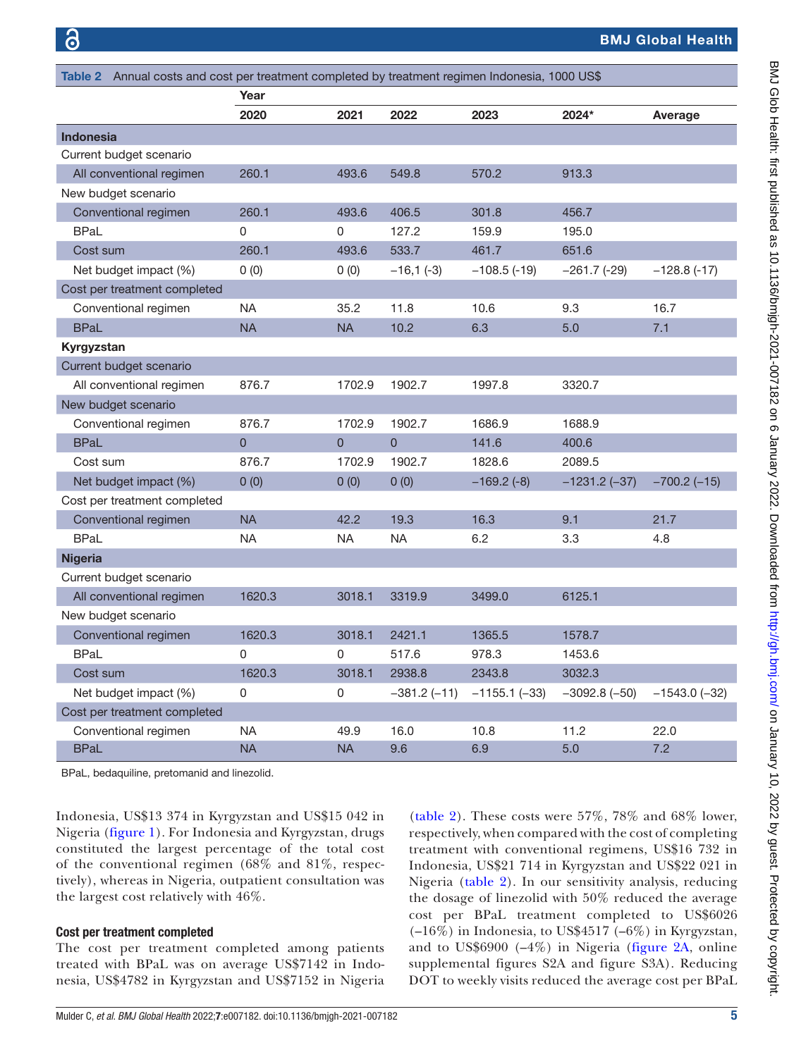<span id="page-4-0"></span>

| Table 2 Annual costs and cost per treatment completed by treatment regimen Indonesia, 1000 US\$ |                |                |                |                 |                |                    |  |  |
|-------------------------------------------------------------------------------------------------|----------------|----------------|----------------|-----------------|----------------|--------------------|--|--|
|                                                                                                 | Year           |                |                |                 |                |                    |  |  |
|                                                                                                 | 2020           | 2021           | 2022           | 2023            | 2024*          | Average            |  |  |
| <b>Indonesia</b>                                                                                |                |                |                |                 |                |                    |  |  |
| Current budget scenario                                                                         |                |                |                |                 |                |                    |  |  |
| All conventional regimen                                                                        | 260.1          | 493.6          | 549.8          | 570.2           | 913.3          |                    |  |  |
| New budget scenario                                                                             |                |                |                |                 |                |                    |  |  |
| Conventional regimen                                                                            | 260.1          | 493.6          | 406.5          | 301.8           | 456.7          |                    |  |  |
| <b>BPaL</b>                                                                                     | $\Omega$       | $\Omega$       | 127.2          | 159.9           | 195.0          |                    |  |  |
| Cost sum                                                                                        | 260.1          | 493.6          | 533.7          | 461.7           | 651.6          |                    |  |  |
| Net budget impact (%)                                                                           | 0(0)           | 0(0)           | $-16,1(-3)$    | $-108.5$ (-19)  | $-261.7$ (-29) | $-128.8$ (-17)     |  |  |
| Cost per treatment completed                                                                    |                |                |                |                 |                |                    |  |  |
| Conventional regimen                                                                            | NA.            | 35.2           | 11.8           | 10.6            | 9.3            | 16.7               |  |  |
| <b>BPaL</b>                                                                                     | <b>NA</b>      | <b>NA</b>      | 10.2           | 6.3             | 5.0            | 7.1                |  |  |
| Kyrgyzstan                                                                                      |                |                |                |                 |                |                    |  |  |
| Current budget scenario                                                                         |                |                |                |                 |                |                    |  |  |
| All conventional regimen                                                                        | 876.7          | 1702.9         | 1902.7         | 1997.8          | 3320.7         |                    |  |  |
| New budget scenario                                                                             |                |                |                |                 |                |                    |  |  |
| Conventional regimen                                                                            | 876.7          | 1702.9         | 1902.7         | 1686.9          | 1688.9         |                    |  |  |
| <b>BPaL</b>                                                                                     | $\overline{0}$ | $\overline{0}$ | $\overline{0}$ | 141.6           | 400.6          |                    |  |  |
| Cost sum                                                                                        | 876.7          | 1702.9         | 1902.7         | 1828.6          | 2089.5         |                    |  |  |
| Net budget impact (%)                                                                           | 0(0)           | 0(0)           | 0(0)           | $-169.2(-8)$    | $-1231.2(-37)$ | $-700.2$ ( $-15$ ) |  |  |
| Cost per treatment completed                                                                    |                |                |                |                 |                |                    |  |  |
| Conventional regimen                                                                            | <b>NA</b>      | 42.2           | 19.3           | 16.3            | 9.1            | 21.7               |  |  |
| <b>BPaL</b>                                                                                     | <b>NA</b>      | <b>NA</b>      | <b>NA</b>      | 6.2             | 3.3            | 4.8                |  |  |
| <b>Nigeria</b>                                                                                  |                |                |                |                 |                |                    |  |  |
| Current budget scenario                                                                         |                |                |                |                 |                |                    |  |  |
| All conventional regimen                                                                        | 1620.3         | 3018.1         | 3319.9         | 3499.0          | 6125.1         |                    |  |  |
| New budget scenario                                                                             |                |                |                |                 |                |                    |  |  |
| Conventional regimen                                                                            | 1620.3         | 3018.1         | 2421.1         | 1365.5          | 1578.7         |                    |  |  |
| <b>BPaL</b>                                                                                     | $\Omega$       | 0              | 517.6          | 978.3           | 1453.6         |                    |  |  |
| Cost sum                                                                                        | 1620.3         | 3018.1         | 2938.8         | 2343.8          | 3032.3         |                    |  |  |
| Net budget impact (%)                                                                           | 0              | 0              | –381.2 (–11)   | $-1155.1$ (-33) | $-3092.8(-50)$ | $-1543.0$ (-32)    |  |  |
| Cost per treatment completed                                                                    |                |                |                |                 |                |                    |  |  |
| Conventional regimen                                                                            | <b>NA</b>      | 49.9           | 16.0           | 10.8            | 11.2           | 22.0               |  |  |
| <b>BPaL</b>                                                                                     | <b>NA</b>      | <b>NA</b>      | 9.6            | 6.9             | 5.0            | 7.2                |  |  |

BPaL, bedaquiline, pretomanid and linezolid.

Indonesia, US\$13 374 in Kyrgyzstan and US\$15 042 in Nigeria [\(figure](#page-3-0) 1). For Indonesia and Kyrgyzstan, drugs constituted the largest percentage of the total cost of the conventional regimen (68% and 81%, respectively), whereas in Nigeria, outpatient consultation was the largest cost relatively with 46%.

#### Cost per treatment completed

The cost per treatment completed among patients treated with BPaL was on average US\$7142 in Indonesia, US\$4782 in Kyrgyzstan and US\$7152 in Nigeria

[\(table](#page-4-0) 2). These costs were 57%, 78% and 68% lower, respectively, when compared with the cost of completing treatment with conventional regimens, US\$16 732 in Indonesia, US\$21 714 in Kyrgyzstan and US\$22 021 in Nigeria ([table](#page-4-0) 2). In our sensitivity analysis, reducing the dosage of linezolid with 50% reduced the average cost per BPaL treatment completed to US\$6026  $(-16\%)$  in Indonesia, to US\$4517 (-6%) in Kyrgyzstan, and to US\$6900 (–4%) in Nigeria ([figure](#page-5-0) 2A, [online](https://dx.doi.org/10.1136/bmjgh-2021-007182) [supplemental figures S2A and figure S3A\)](https://dx.doi.org/10.1136/bmjgh-2021-007182). Reducing DOT to weekly visits reduced the average cost per BPaL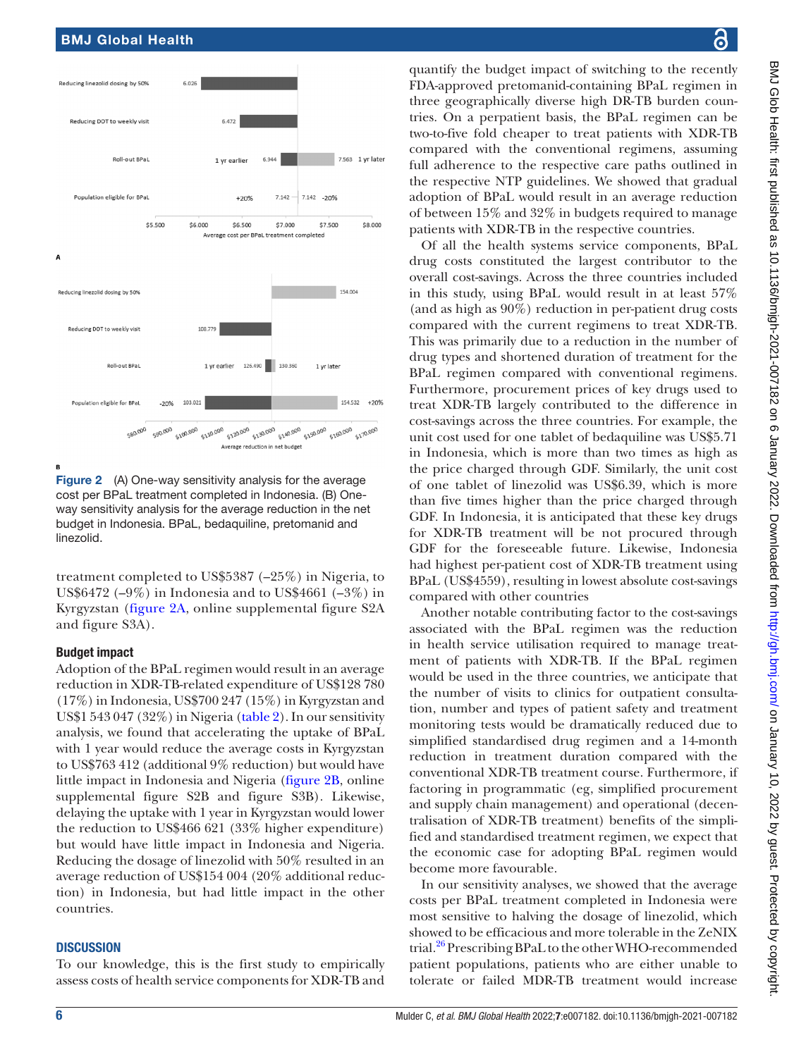

<span id="page-5-0"></span>**Figure 2** (A) One-way sensitivity analysis for the average cost per BPaL treatment completed in Indonesia. (B) Oneway sensitivity analysis for the average reduction in the net budget in Indonesia. BPaL, bedaquiline, pretomanid and linezolid.

treatment completed to US\$5387 (–25%) in Nigeria, to US\$6472 ( $-9\%$ ) in Indonesia and to US\$4661 ( $-3\%$ ) in Kyrgyzstan [\(figure](#page-5-0) 2A, [online supplemental figure S2A](https://dx.doi.org/10.1136/bmjgh-2021-007182)  [and figure S3A](https://dx.doi.org/10.1136/bmjgh-2021-007182)).

#### Budget impact

Adoption of the BPaL regimen would result in an average reduction in XDR-TB-related expenditure of US\$128 780 (17%) in Indonesia, US\$700 247 (15%) in Kyrgyzstan and US\$1 543 047 (32%) in Nigeria [\(table](#page-4-0) 2). In our sensitivity analysis, we found that accelerating the uptake of BPaL with 1 year would reduce the average costs in Kyrgyzstan to US\$763 412 (additional 9% reduction) but would have little impact in Indonesia and Nigeria [\(figure](#page-5-0) 2B, [online](https://dx.doi.org/10.1136/bmjgh-2021-007182)  [supplemental figure S2B and figure S3B\)](https://dx.doi.org/10.1136/bmjgh-2021-007182). Likewise, delaying the uptake with 1 year in Kyrgyzstan would lower the reduction to US\$466 621 (33% higher expenditure) but would have little impact in Indonesia and Nigeria. Reducing the dosage of linezolid with 50% resulted in an average reduction of US\$154 004 (20% additional reduction) in Indonesia, but had little impact in the other countries.

#### **DISCUSSION**

To our knowledge, this is the first study to empirically assess costs of health service components for XDR-TB and

quantify the budget impact of switching to the recently FDA-approved pretomanid-containing BPaL regimen in three geographically diverse high DR-TB burden countries. On a perpatient basis, the BPaL regimen can be two-to-five fold cheaper to treat patients with XDR-TB compared with the conventional regimens, assuming full adherence to the respective care paths outlined in the respective NTP guidelines. We showed that gradual adoption of BPaL would result in an average reduction of between 15% and 32% in budgets required to manage patients with XDR-TB in the respective countries.

Of all the health systems service components, BPaL drug costs constituted the largest contributor to the overall cost-savings. Across the three countries included in this study, using BPaL would result in at least 57% (and as high as 90%) reduction in per-patient drug costs compared with the current regimens to treat XDR-TB. This was primarily due to a reduction in the number of drug types and shortened duration of treatment for the BPaL regimen compared with conventional regimens. Furthermore, procurement prices of key drugs used to treat XDR-TB largely contributed to the difference in cost-savings across the three countries. For example, the unit cost used for one tablet of bedaquiline was US\$5.71 in Indonesia, which is more than two times as high as the price charged through GDF. Similarly, the unit cost of one tablet of linezolid was US\$6.39, which is more than five times higher than the price charged through GDF. In Indonesia, it is anticipated that these key drugs for XDR-TB treatment will be not procured through GDF for the foreseeable future. Likewise, Indonesia had highest per-patient cost of XDR-TB treatment using BPaL (US\$4559), resulting in lowest absolute cost-savings compared with other countries

Another notable contributing factor to the cost-savings associated with the BPaL regimen was the reduction in health service utilisation required to manage treatment of patients with XDR-TB. If the BPaL regimen would be used in the three countries, we anticipate that the number of visits to clinics for outpatient consultation, number and types of patient safety and treatment monitoring tests would be dramatically reduced due to simplified standardised drug regimen and a 14-month reduction in treatment duration compared with the conventional XDR-TB treatment course. Furthermore, if factoring in programmatic (eg, simplified procurement and supply chain management) and operational (decentralisation of XDR-TB treatment) benefits of the simplified and standardised treatment regimen, we expect that the economic case for adopting BPaL regimen would become more favourable.

In our sensitivity analyses, we showed that the average costs per BPaL treatment completed in Indonesia were most sensitive to halving the dosage of linezolid, which showed to be efficacious and more tolerable in the ZeNIX trial.<sup>[26](#page-7-18)</sup> Prescribing BPaL to the other WHO-recommended patient populations, patients who are either unable to tolerate or failed MDR-TB treatment would increase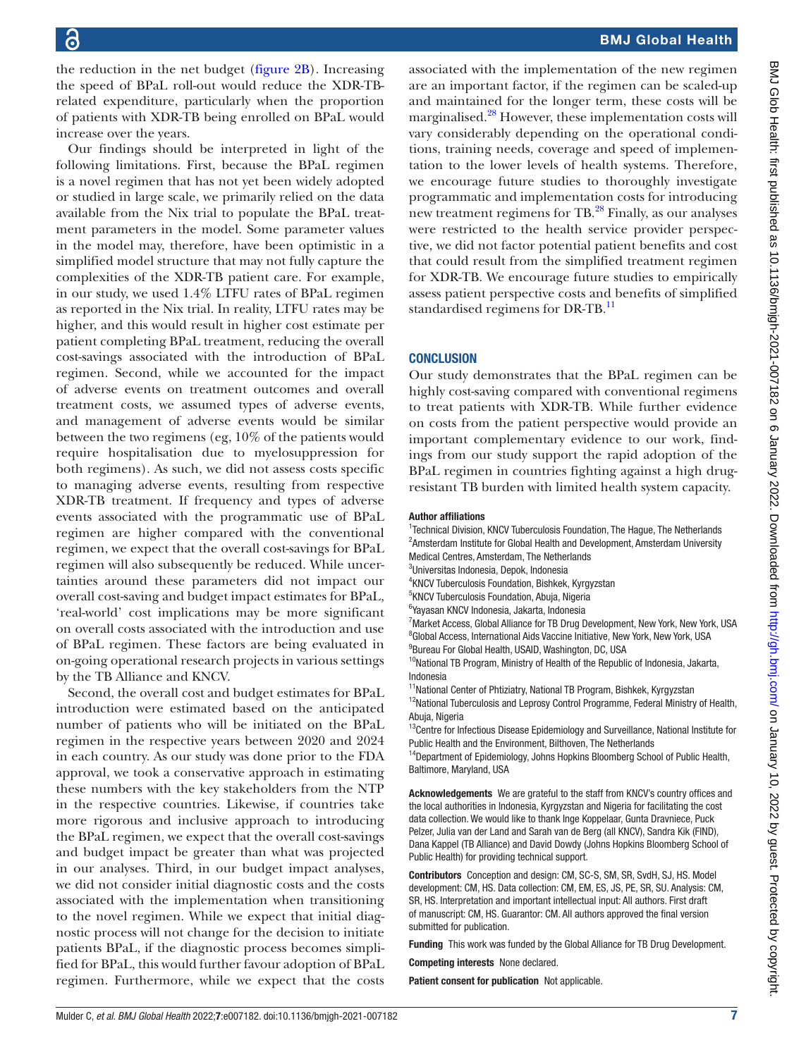the reduction in the net budget [\(figure](#page-5-0) 2B). Increasing the speed of BPaL roll-out would reduce the XDR-TBrelated expenditure, particularly when the proportion of patients with XDR-TB being enrolled on BPaL would increase over the years.

Our findings should be interpreted in light of the following limitations. First, because the BPaL regimen is a novel regimen that has not yet been widely adopted or studied in large scale, we primarily relied on the data available from the Nix trial to populate the BPaL treatment parameters in the model. Some parameter values in the model may, therefore, have been optimistic in a simplified model structure that may not fully capture the complexities of the XDR-TB patient care. For example, in our study, we used 1.4% LTFU rates of BPaL regimen as reported in the Nix trial. In reality, LTFU rates may be higher, and this would result in higher cost estimate per patient completing BPaL treatment, reducing the overall cost-savings associated with the introduction of BPaL regimen. Second, while we accounted for the impact of adverse events on treatment outcomes and overall treatment costs, we assumed types of adverse events, and management of adverse events would be similar between the two regimens (eg, 10% of the patients would require hospitalisation due to myelosuppression for both regimens). As such, we did not assess costs specific to managing adverse events, resulting from respective XDR-TB treatment. If frequency and types of adverse events associated with the programmatic use of BPaL regimen are higher compared with the conventional regimen, we expect that the overall cost-savings for BPaL regimen will also subsequently be reduced. While uncertainties around these parameters did not impact our overall cost-saving and budget impact estimates for BPaL, 'real-world' cost implications may be more significant on overall costs associated with the introduction and use of BPaL regimen. These factors are being evaluated in on-going operational research projects in various settings by the TB Alliance and KNCV.

Second, the overall cost and budget estimates for BPaL introduction were estimated based on the anticipated number of patients who will be initiated on the BPaL regimen in the respective years between 2020 and 2024 in each country. As our study was done prior to the FDA approval, we took a conservative approach in estimating these numbers with the key stakeholders from the NTP in the respective countries. Likewise, if countries take more rigorous and inclusive approach to introducing the BPaL regimen, we expect that the overall cost-savings and budget impact be greater than what was projected in our analyses. Third, in our budget impact analyses, we did not consider initial diagnostic costs and the costs associated with the implementation when transitioning to the novel regimen. While we expect that initial diagnostic process will not change for the decision to initiate patients BPaL, if the diagnostic process becomes simplified for BPaL, this would further favour adoption of BPaL regimen. Furthermore, while we expect that the costs

associated with the implementation of the new regimen are an important factor, if the regimen can be scaled-up and maintained for the longer term, these costs will be marginalised.<sup>28</sup> However, these implementation costs will vary considerably depending on the operational conditions, training needs, coverage and speed of implementation to the lower levels of health systems. Therefore, we encourage future studies to thoroughly investigate programmatic and implementation costs for introducing new treatment regimens for TB.<sup>[28](#page-7-20)</sup> Finally, as our analyses were restricted to the health service provider perspective, we did not factor potential patient benefits and cost that could result from the simplified treatment regimen for XDR-TB. We encourage future studies to empirically assess patient perspective costs and benefits of simplified standardised regimens for DR-TB.<sup>[11](#page-7-7)</sup>

#### **CONCLUSION**

Our study demonstrates that the BPaL regimen can be highly cost-saving compared with conventional regimens to treat patients with XDR-TB. While further evidence on costs from the patient perspective would provide an important complementary evidence to our work, findings from our study support the rapid adoption of the BPaL regimen in countries fighting against a high drugresistant TB burden with limited health system capacity.

#### Author affiliations

<sup>1</sup> Technical Division, KNCV Tuberculosis Foundation, The Hague, The Netherlands <sup>2</sup> Amsterdam Institute for Global Health and Development, Amsterdam University Medical Centres, Amsterdam, The Netherlands

- 3 Universitas Indonesia, Depok, Indonesia
- 4 KNCV Tuberculosis Foundation, Bishkek, Kyrgyzstan
- <sup>5</sup>KNCV Tuberculosis Foundation, Abuja, Nigeria
- 6 Yayasan KNCV Indonesia, Jakarta, Indonesia
- <sup>7</sup> Market Access, Global Alliance for TB Drug Development, New York, New York, USA <sup>8</sup>Global Access, International Aids Vaccine Initiative, New York, New York, USA <sup>9</sup>Bureau For Global Health, USAID, Washington, DC, USA
- <sup>10</sup>National TB Program, Ministry of Health of the Republic of Indonesia, Jakarta, Indonesia
- <sup>11</sup>National Center of Phtiziatry, National TB Program, Bishkek, Kyrgyzstan <sup>12</sup>National Tuberculosis and Leprosy Control Programme, Federal Ministry of Health, Abuja, Nigeria
- <sup>13</sup>Centre for Infectious Disease Epidemiology and Surveillance, National Institute for Public Health and the Environment, Bilthoven, The Netherlands
- <sup>14</sup>Department of Epidemiology, Johns Hopkins Bloomberg School of Public Health, Baltimore, Maryland, USA

Acknowledgements We are grateful to the staff from KNCV's country offices and the local authorities in Indonesia, Kyrgyzstan and Nigeria for facilitating the cost data collection. We would like to thank Inge Koppelaar, Gunta Dravniece, Puck Pelzer, Julia van der Land and Sarah van de Berg (all KNCV), Sandra Kik (FIND), Dana Kappel (TB Alliance) and David Dowdy (Johns Hopkins Bloomberg School of Public Health) for providing technical support.

Contributors Conception and design: CM, SC-S, SM, SR, SvdH, SJ, HS. Model development: CM, HS. Data collection: CM, EM, ES, JS, PE, SR, SU. Analysis: CM, SR, HS. Interpretation and important intellectual input: All authors. First draft of manuscript: CM, HS. Guarantor: CM. All authors approved the final version submitted for publication.

Funding This work was funded by the Global Alliance for TB Drug Development.

Competing interests None declared.

Patient consent for publication Not applicable.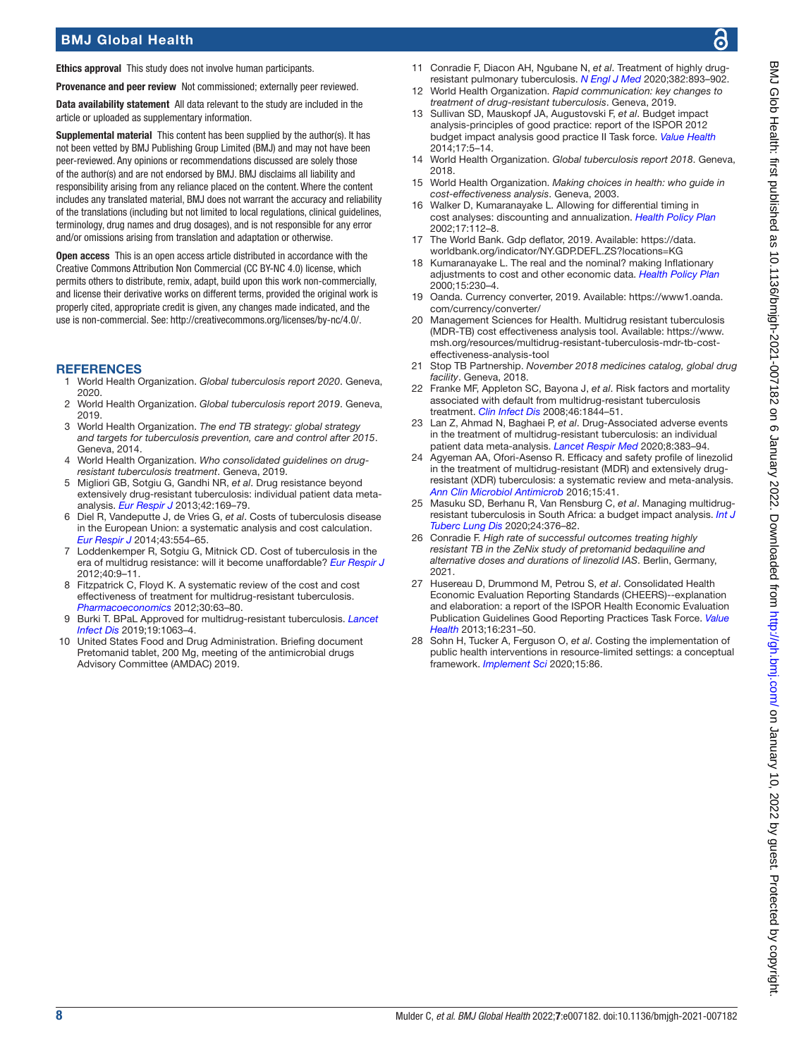# BMJ Global Health

Ethics approval This study does not involve human participants.

Provenance and peer review Not commissioned; externally peer reviewed.

Data availability statement All data relevant to the study are included in the article or uploaded as supplementary information.

Supplemental material This content has been supplied by the author(s). It has not been vetted by BMJ Publishing Group Limited (BMJ) and may not have been peer-reviewed. Any opinions or recommendations discussed are solely those of the author(s) and are not endorsed by BMJ. BMJ disclaims all liability and responsibility arising from any reliance placed on the content. Where the content includes any translated material, BMJ does not warrant the accuracy and reliability of the translations (including but not limited to local regulations, clinical guidelines, terminology, drug names and drug dosages), and is not responsible for any error and/or omissions arising from translation and adaptation or otherwise.

Open access This is an open access article distributed in accordance with the Creative Commons Attribution Non Commercial (CC BY-NC 4.0) license, which permits others to distribute, remix, adapt, build upon this work non-commercially, and license their derivative works on different terms, provided the original work is properly cited, appropriate credit is given, any changes made indicated, and the use is non-commercial. See:<http://creativecommons.org/licenses/by-nc/4.0/>.

#### **REFERENCES**

- <span id="page-7-0"></span>1 World Health Organization. *Global tuberculosis report 2020*. Geneva, 2020.
- <span id="page-7-1"></span>2 World Health Organization. *Global tuberculosis report 2019*. Geneva, 2019.
- <span id="page-7-2"></span>3 World Health Organization. *The end TB strategy: global strategy and targets for tuberculosis prevention, care and control after 2015*. Geneva, 2014.
- <span id="page-7-3"></span>4 World Health Organization. *Who consolidated guidelines on drugresistant tuberculosis treatment*. Geneva, 2019.
- 5 Migliori GB, Sotgiu G, Gandhi NR, *et al*. Drug resistance beyond extensively drug-resistant tuberculosis: individual patient data metaanalysis. *[Eur Respir J](http://dx.doi.org/10.1183/09031936.00136312)* 2013;42:169–79.
- <span id="page-7-4"></span>6 Diel R, Vandeputte J, de Vries G, *et al*. Costs of tuberculosis disease in the European Union: a systematic analysis and cost calculation. *[Eur Respir J](http://dx.doi.org/10.1183/09031936.00079413)* 2014;43:554–65.
- 7 Loddenkemper R, Sotgiu G, Mitnick CD. Cost of tuberculosis in the era of multidrug resistance: will it become unaffordable? *[Eur Respir J](http://dx.doi.org/10.1183/09031936.00027612)* 2012;40:9–11.
- 8 Fitzpatrick C, Floyd K. A systematic review of the cost and cost effectiveness of treatment for multidrug-resistant tuberculosis. *[Pharmacoeconomics](http://dx.doi.org/10.2165/11595340-000000000-00000)* 2012;30:63–80.
- <span id="page-7-5"></span>9 Burki T. BPaL Approved for multidrug-resistant tuberculosis. *[Lancet](http://dx.doi.org/10.1016/S1473-3099(19)30489-X)  [Infect Dis](http://dx.doi.org/10.1016/S1473-3099(19)30489-X)* 2019;19:1063–4.
- <span id="page-7-6"></span>10 United States Food and Drug Administration. Briefing document Pretomanid tablet, 200 Mg, meeting of the antimicrobial drugs Advisory Committee (AMDAC) 2019.
- <span id="page-7-7"></span>11 Conradie F, Diacon AH, Ngubane N, *et al*. Treatment of highly drugresistant pulmonary tuberculosis. *[N Engl J Med](http://dx.doi.org/10.1056/NEJMoa1901814)* 2020;382:893–902.
- 12 World Health Organization. *Rapid communication: key changes to treatment of drug-resistant tuberculosis*. Geneva, 2019.
- <span id="page-7-8"></span>13 Sullivan SD, Mauskopf JA, Augustovski F, *et al*. Budget impact analysis-principles of good practice: report of the ISPOR 2012 budget impact analysis good practice II Task force. *[Value Health](http://dx.doi.org/10.1016/j.jval.2013.08.2291)* 2014;17:5–14.
- <span id="page-7-9"></span>14 World Health Organization. *Global tuberculosis report 2018*. Geneva, 2018.
- <span id="page-7-10"></span>15 World Health Organization. *Making choices in health: who guide in cost-effectiveness analysis*. Geneva, 2003.
- 16 Walker D, Kumaranayake L. Allowing for differential timing in cost analyses: discounting and annualization. *[Health Policy Plan](http://dx.doi.org/10.1093/heapol/17.1.112)* 2002;17:112–8.
- 17 The World Bank. Gdp deflator, 2019. Available: [https://data.](https://data.worldbank.org/indicator/NY.GDP.DEFL.ZS?locations=KG) [worldbank.org/indicator/NY.GDP.DEFL.ZS?locations=KG](https://data.worldbank.org/indicator/NY.GDP.DEFL.ZS?locations=KG)
- 18 Kumaranayake L. The real and the nominal? making Inflationary adjustments to cost and other economic data. *[Health Policy Plan](http://dx.doi.org/10.1093/heapol/15.2.230)* 2000;15:230–4.
- <span id="page-7-11"></span>19 Oanda. Currency converter, 2019. Available: [https://www1.oanda.](https://www1.oanda.com/currency/converter/) [com/currency/converter/](https://www1.oanda.com/currency/converter/)
- <span id="page-7-12"></span>20 Management Sciences for Health. Multidrug resistant tuberculosis (MDR-TB) cost effectiveness analysis tool. Available: [https://www.](https://www.msh.org/resources/multidrug-resistant-tuberculosis-mdr-tb-cost-effectiveness-analysis-tool) [msh.org/resources/multidrug-resistant-tuberculosis-mdr-tb-cost](https://www.msh.org/resources/multidrug-resistant-tuberculosis-mdr-tb-cost-effectiveness-analysis-tool)[effectiveness-analysis-tool](https://www.msh.org/resources/multidrug-resistant-tuberculosis-mdr-tb-cost-effectiveness-analysis-tool)
- <span id="page-7-13"></span>21 Stop TB Partnership. *November 2018 medicines catalog, global drug facility*. Geneva, 2018.
- <span id="page-7-14"></span>22 Franke MF, Appleton SC, Bayona J, *et al*. Risk factors and mortality associated with default from multidrug-resistant tuberculosis treatment. *[Clin Infect Dis](http://dx.doi.org/10.1086/588292)* 2008;46:1844–51.
- <span id="page-7-15"></span>23 Lan Z, Ahmad N, Baghaei P, *et al*. Drug-Associated adverse events in the treatment of multidrug-resistant tuberculosis: an individual patient data meta-analysis. *[Lancet Respir Med](http://dx.doi.org/10.1016/S2213-2600(20)30047-3)* 2020;8:383–94.
- <span id="page-7-16"></span>24 Agyeman AA, Ofori-Asenso R. Efficacy and safety profile of linezolid in the treatment of multidrug-resistant (MDR) and extensively drugresistant (XDR) tuberculosis: a systematic review and meta-analysis. *[Ann Clin Microbiol Antimicrob](http://dx.doi.org/10.1186/s12941-016-0156-y)* 2016;15:41.
- <span id="page-7-17"></span>25 Masuku SD, Berhanu R, Van Rensburg C, *et al*. Managing multidrugresistant tuberculosis in South Africa: a budget impact analysis. *[Int J](http://dx.doi.org/10.5588/ijtld.19.0409)  [Tuberc Lung Dis](http://dx.doi.org/10.5588/ijtld.19.0409)* 2020;24:376–82.
- <span id="page-7-18"></span>26 Conradie F. *High rate of successful outcomes treating highly resistant TB in the ZeNix study of pretomanid bedaquiline and alternative doses and durations of linezolid IAS*. Berlin, Germany, 2021.
- <span id="page-7-19"></span>27 Husereau D, Drummond M, Petrou S, *et al*. Consolidated Health Economic Evaluation Reporting Standards (CHEERS)--explanation and elaboration: a report of the ISPOR Health Economic Evaluation Publication Guidelines Good Reporting Practices Task Force. *[Value](http://dx.doi.org/10.1016/j.jval.2013.02.002)  [Health](http://dx.doi.org/10.1016/j.jval.2013.02.002)* 2013;16:231–50.
- <span id="page-7-20"></span>28 Sohn H, Tucker A, Ferguson O, *et al*. Costing the implementation of public health interventions in resource-limited settings: a conceptual framework. *[Implement Sci](http://dx.doi.org/10.1186/s13012-020-01047-2)* 2020;15:86.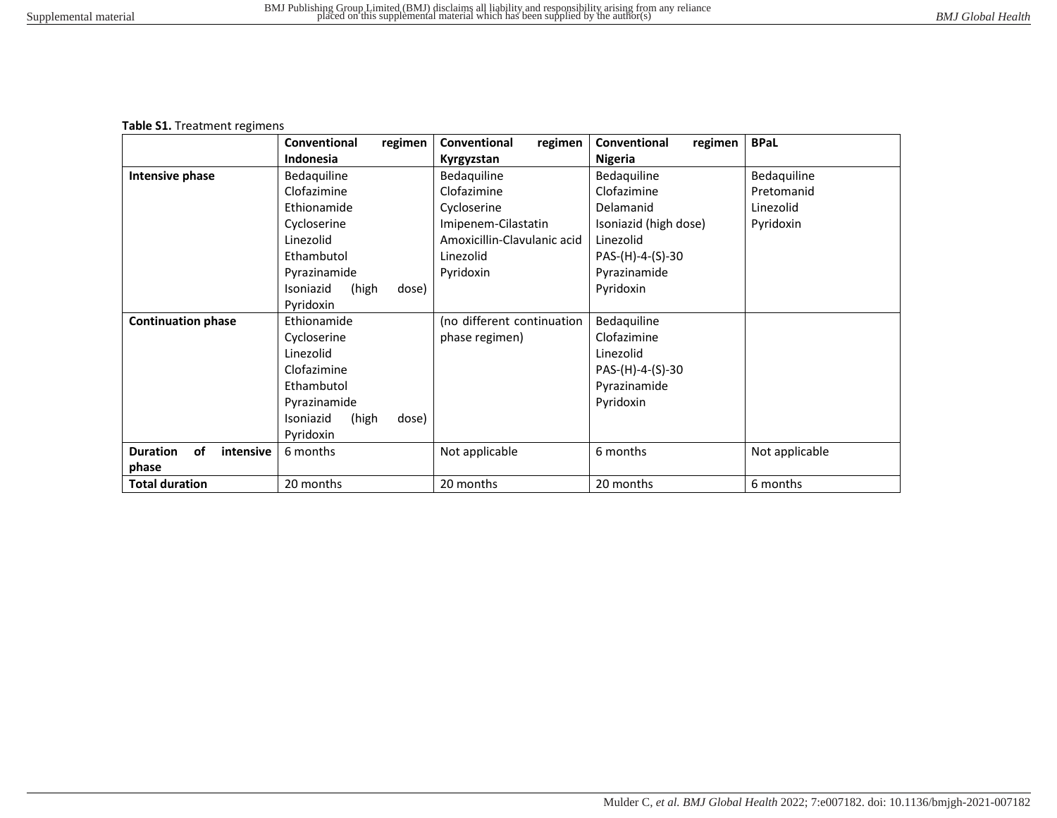#### **Table S1.** Treatment regimens

|                                    | regimen<br>Conventional     | Conventional<br>regimen     | regimen<br>Conventional | <b>BPaL</b>    |
|------------------------------------|-----------------------------|-----------------------------|-------------------------|----------------|
|                                    | <b>Indonesia</b>            | Kyrgyzstan                  | <b>Nigeria</b>          |                |
| Intensive phase                    | Bedaquiline                 | Bedaguiline                 | Bedaquiline             | Bedaquiline    |
|                                    | Clofazimine                 | Clofazimine                 | Clofazimine             | Pretomanid     |
|                                    | Ethionamide                 | Cycloserine                 | Delamanid               | Linezolid      |
|                                    | Cycloserine                 | Imipenem-Cilastatin         | Isoniazid (high dose)   | Pyridoxin      |
|                                    | Linezolid                   | Amoxicillin-Clavulanic acid | Linezolid               |                |
|                                    | Ethambutol                  | Linezolid                   | PAS-(H)-4-(S)-30        |                |
|                                    | Pyrazinamide                | Pyridoxin                   | Pyrazinamide            |                |
|                                    | Isoniazid<br>(high<br>dose) |                             | Pyridoxin               |                |
|                                    | Pyridoxin                   |                             |                         |                |
| <b>Continuation phase</b>          | Ethionamide                 | (no different continuation  | Bedaquiline             |                |
|                                    | Cycloserine                 | phase regimen)              | Clofazimine             |                |
|                                    | Linezolid                   |                             | Linezolid               |                |
|                                    | Clofazimine                 |                             | PAS-(H)-4-(S)-30        |                |
|                                    | Ethambutol                  |                             | Pyrazinamide            |                |
|                                    | Pyrazinamide                |                             | Pyridoxin               |                |
|                                    | Isoniazid<br>(high<br>dose) |                             |                         |                |
|                                    | Pyridoxin                   |                             |                         |                |
| <b>Duration</b><br>οf<br>intensive | 6 months                    | Not applicable              | 6 months                | Not applicable |
| phase                              |                             |                             |                         |                |
| <b>Total duration</b>              | 20 months                   | 20 months                   | 20 months               | 6 months       |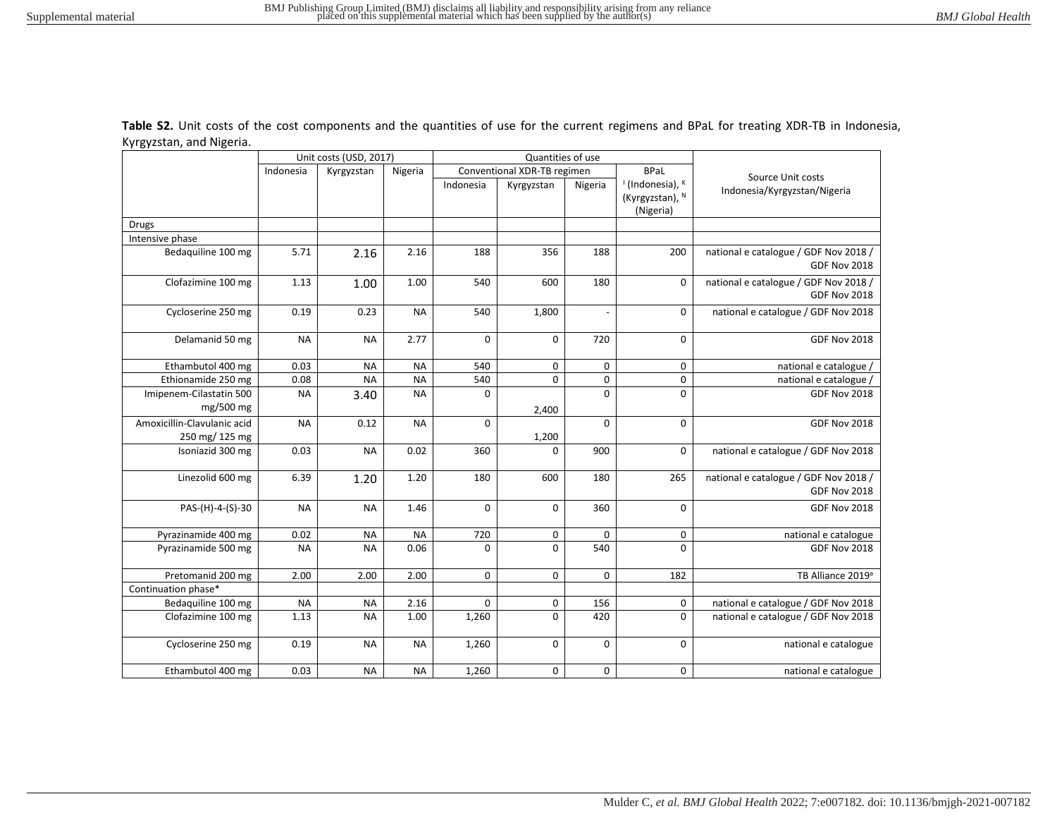|                                               |           | Unit costs (USD, 2017) |           | Quantities of use |                                            |             |                                                             |                                                              |
|-----------------------------------------------|-----------|------------------------|-----------|-------------------|--------------------------------------------|-------------|-------------------------------------------------------------|--------------------------------------------------------------|
|                                               | Indonesia | Kyrgyzstan             | Nigeria   |                   | Conventional XDR-TB regimen<br><b>BPaL</b> |             | Source Unit costs                                           |                                                              |
|                                               |           |                        |           | Indonesia         | Kyrgyzstan                                 | Nigeria     | <sup>1</sup> (Indonesia), K<br>(Kyrgyzstan), N<br>(Nigeria) | Indonesia/Kyrgyzstan/Nigeria                                 |
| <b>Drugs</b>                                  |           |                        |           |                   |                                            |             |                                                             |                                                              |
| Intensive phase                               |           |                        |           |                   |                                            |             |                                                             |                                                              |
| Bedaquiline 100 mg                            | 5.71      | 2.16                   | 2.16      | 188               | 356                                        | 188         | 200                                                         | national e catalogue / GDF Nov 2018 /<br><b>GDF Nov 2018</b> |
| Clofazimine 100 mg                            | 1.13      | 1.00                   | 1.00      | 540               | 600                                        | 180         | $\mathbf 0$                                                 | national e catalogue / GDF Nov 2018 /<br><b>GDF Nov 2018</b> |
| Cycloserine 250 mg                            | 0.19      | 0.23                   | <b>NA</b> | 540               | 1,800                                      |             | 0                                                           | national e catalogue / GDF Nov 2018                          |
| Delamanid 50 mg                               | <b>NA</b> | <b>NA</b>              | 2.77      | $\mathbf 0$       | $\mathbf 0$                                | 720         | $\mathbf 0$                                                 | <b>GDF Nov 2018</b>                                          |
| Ethambutol 400 mg                             | 0.03      | <b>NA</b>              | <b>NA</b> | 540               | $\mathbf 0$                                | 0           | 0                                                           | national e catalogue                                         |
| Ethionamide 250 mg                            | 0.08      | <b>NA</b>              | <b>NA</b> | 540               | 0                                          | 0           | $\pmb{0}$                                                   | national e catalogue                                         |
| Imipenem-Cilastatin 500<br>mg/500 mg          | <b>NA</b> | 3.40                   | <b>NA</b> | 0                 | 2,400                                      | $\mathbf 0$ | $\mathbf 0$                                                 | <b>GDF Nov 2018</b>                                          |
| Amoxicillin-Clavulanic acid<br>250 mg/ 125 mg | <b>NA</b> | 0.12                   | <b>NA</b> | $\mathbf 0$       | 1,200                                      | $\mathbf 0$ | $\mathbf 0$                                                 | <b>GDF Nov 2018</b>                                          |
| Isoniazid 300 mg                              | 0.03      | <b>NA</b>              | 0.02      | 360               | $\Omega$                                   | 900         | $\mathbf 0$                                                 | national e catalogue / GDF Nov 2018                          |
| Linezolid 600 mg                              | 6.39      | 1.20                   | 1.20      | 180               | 600                                        | 180         | 265                                                         | national e catalogue / GDF Nov 2018 /<br><b>GDF Nov 2018</b> |
| PAS-(H)-4-(S)-30                              | <b>NA</b> | <b>NA</b>              | 1.46      | $\mathbf 0$       | $\mathbf 0$                                | 360         | $\mathbf 0$                                                 | <b>GDF Nov 2018</b>                                          |
| Pyrazinamide 400 mg                           | 0.02      | <b>NA</b>              | <b>NA</b> | 720               | 0                                          | $\mathbf 0$ | 0                                                           | national e catalogue                                         |
| Pyrazinamide 500 mg                           | <b>NA</b> | <b>NA</b>              | 0.06      | $\Omega$          | $\mathbf 0$                                | 540         | $\Omega$                                                    | <b>GDF Nov 2018</b>                                          |
| Pretomanid 200 mg                             | 2.00      | 2.00                   | 2.00      | $\mathbf 0$       | $\mathbf 0$                                | $\mathbf 0$ | 182                                                         | TB Alliance 2019 <sup>a</sup>                                |
| Continuation phase*                           |           |                        |           |                   |                                            |             |                                                             |                                                              |
| Bedaquiline 100 mg                            | <b>NA</b> | <b>NA</b>              | 2.16      | 0                 | 0                                          | 156         | 0                                                           | national e catalogue / GDF Nov 2018                          |
| Clofazimine 100 mg                            | 1.13      | <b>NA</b>              | 1.00      | 1,260             | $\mathbf 0$                                | 420         | 0                                                           | national e catalogue / GDF Nov 2018                          |
| Cycloserine 250 mg                            | 0.19      | <b>NA</b>              | <b>NA</b> | 1,260             | 0                                          | $\mathbf 0$ | $\mathbf 0$                                                 | national e catalogue                                         |
| Ethambutol 400 mg                             | 0.03      | <b>NA</b>              | <b>NA</b> | 1,260             | 0                                          | 0           | 0                                                           | national e catalogue                                         |

**Table S2.** Unit costs of the cost components and the quantities of use for the current regimens and BPaL for treating XDR-TB in Indonesia, Kyrgyzstan, and Nigeria.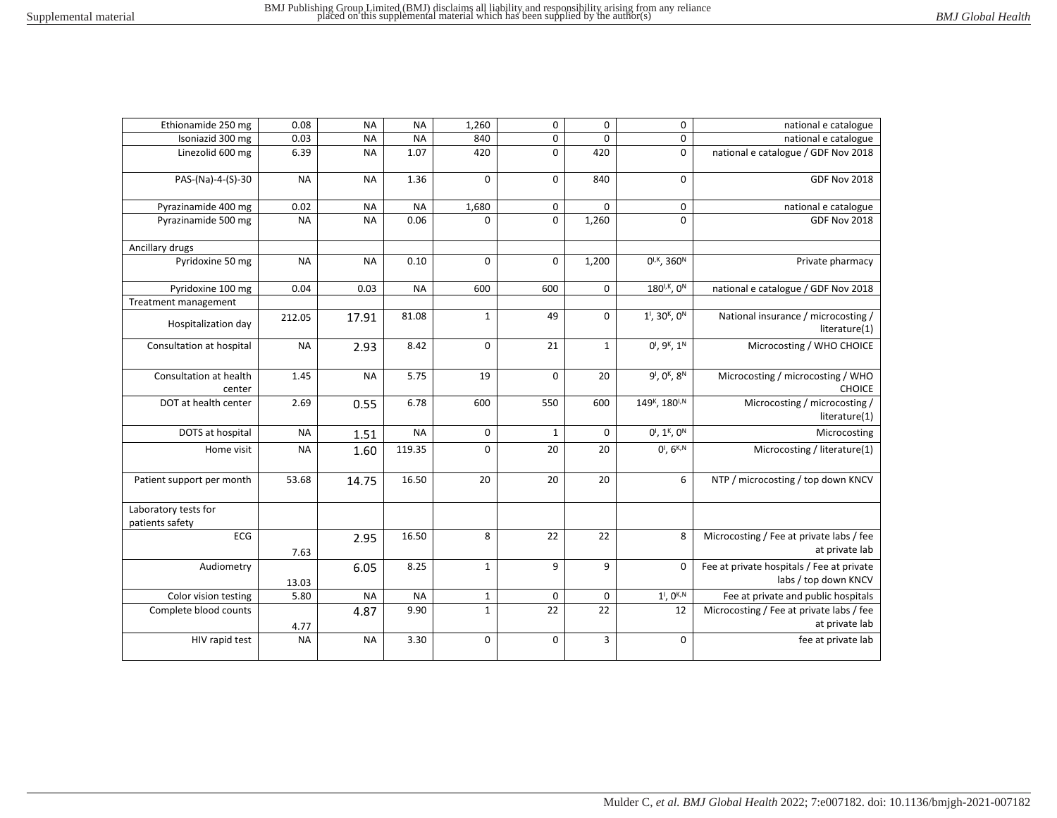| national e catalogue                                       | $\pmb{0}$                            | $\overline{\mathbf{0}}$ | $\overline{0}$ | 1,260        | <b>NA</b> | <b>NA</b> | 0.08      | Ethionamide 250 mg                      |
|------------------------------------------------------------|--------------------------------------|-------------------------|----------------|--------------|-----------|-----------|-----------|-----------------------------------------|
| national e catalogue                                       | 0                                    | $\pmb{0}$               | $\mathbf 0$    | 840          | <b>NA</b> | <b>NA</b> | 0.03      | Isoniazid 300 mg                        |
| national e catalogue / GDF Nov 2018                        | $\mathbf 0$                          | 420                     | $\mathbf 0$    | 420          | 1.07      | <b>NA</b> | 6.39      | Linezolid 600 mg                        |
| <b>GDF Nov 2018</b>                                        | $\mathbf 0$                          | 840                     | $\mathbf 0$    | $\mathbf 0$  | 1.36      | <b>NA</b> | <b>NA</b> | PAS-(Na)-4-(S)-30                       |
| national e catalogue                                       | 0                                    | 0                       | 0              | 1,680        | <b>NA</b> | <b>NA</b> | 0.02      | Pyrazinamide 400 mg                     |
| <b>GDF Nov 2018</b>                                        | $\Omega$                             | 1,260                   | $\mathbf 0$    | $\Omega$     | 0.06      | <b>NA</b> | <b>NA</b> | Pyrazinamide 500 mg                     |
|                                                            |                                      |                         |                |              |           |           |           | Ancillary drugs                         |
| Private pharmacy                                           | $0^{1,K}$ , 360 <sup>N</sup>         | 1,200                   | $\mathbf 0$    | 0            | 0.10      | <b>NA</b> | <b>NA</b> | Pyridoxine 50 mg                        |
| national e catalogue / GDF Nov 2018                        | 180 <sup>1, K</sup> , 0 <sup>N</sup> | 0                       | 600            | 600          | <b>NA</b> | 0.03      | 0.04      | Pyridoxine 100 mg                       |
|                                                            |                                      |                         |                |              |           |           |           | Treatment management                    |
| National insurance / microcosting /<br>literature(1)       | $1^1$ , $30^k$ , $0^N$               | 0                       | 49             | $\mathbf{1}$ | 81.08     | 17.91     | 212.05    | Hospitalization day                     |
| Microcosting / WHO CHOICE                                  | $0^1$ , $9^k$ , $1^N$                | $\mathbf 1$             | 21             | $\mathsf 0$  | 8.42      | 2.93      | <b>NA</b> | Consultation at hospital                |
| Microcosting / microcosting / WHO<br><b>CHOICE</b>         | $9^1, 0^K, 8^N$                      | 20                      | $\mathbf 0$    | 19           | 5.75      | <b>NA</b> | 1.45      | Consultation at health<br>center        |
| Microcosting / microcosting /<br>literature(1)             | 149K, 180 <sup>I,N</sup>             | 600                     | 550            | 600          | 6.78      | 0.55      | 2.69      | DOT at health center                    |
| Microcosting                                               | $0^1$ , 1 <sup>K</sup> , $0^N$       | $\pmb{0}$               | $\mathbf{1}$   | 0            | <b>NA</b> | 1.51      | <b>NA</b> | DOTS at hospital                        |
| Microcosting / literature(1)                               | $0^1, 6^{K,N}$                       | 20                      | 20             | 0            | 119.35    | 1.60      | <b>NA</b> | Home visit                              |
| NTP / microcosting / top down KNCV                         | 6                                    | 20                      | 20             | 20           | 16.50     | 14.75     | 53.68     | Patient support per month               |
|                                                            |                                      |                         |                |              |           |           |           | Laboratory tests for<br>patients safety |
| Microcosting / Fee at private labs / fee<br>at private lab | 8                                    | 22                      | 22             | 8            | 16.50     | 2.95      | 7.63      | ECG                                     |
| Fee at private hospitals / Fee at private                  | $\mathbf 0$                          | 9                       | 9              | $\mathbf 1$  | 8.25      | 6.05      |           | Audiometry                              |
| labs / top down KNCV                                       |                                      |                         |                |              |           |           | 13.03     |                                         |
| Fee at private and public hospitals                        | $1^1$ , $0^{K,N}$                    | $\pmb{0}$               | 0              | $\mathbf{1}$ | <b>NA</b> | <b>NA</b> | 5.80      | Color vision testing                    |
| Microcosting / Fee at private labs / fee                   | 12                                   | 22                      | 22             | $\mathbf{1}$ | 9.90      | 4.87      |           | Complete blood counts                   |
| at private lab                                             |                                      |                         |                |              |           |           | 4.77      |                                         |
| fee at private lab                                         | $\pmb{0}$                            | 3                       | $\mathbf 0$    | 0            | 3.30      | <b>NA</b> | <b>NA</b> | HIV rapid test                          |
|                                                            |                                      |                         |                |              |           |           |           |                                         |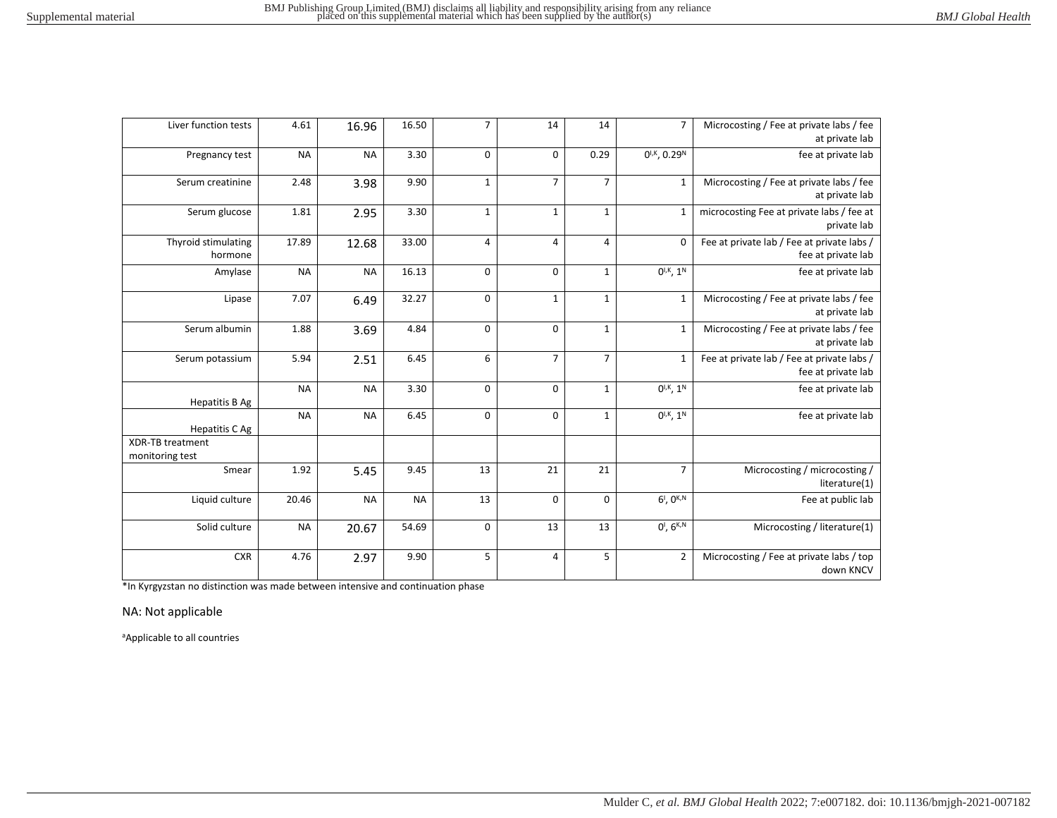| Liver function tests                       | 4.61      | 16.96     | 16.50     | $\overline{7}$ | 14             | 14             | $\overline{7}$                | Microcosting / Fee at private labs / fee<br>at private lab       |
|--------------------------------------------|-----------|-----------|-----------|----------------|----------------|----------------|-------------------------------|------------------------------------------------------------------|
| Pregnancy test                             | <b>NA</b> | <b>NA</b> | 3.30      | 0              | $\mathbf 0$    | 0.29           | $0^{1,K}$ , 0.29 <sup>N</sup> | fee at private lab                                               |
| Serum creatinine                           | 2.48      | 3.98      | 9.90      | $\mathbf{1}$   | $\overline{7}$ | $\overline{7}$ | $\mathbf{1}$                  | Microcosting / Fee at private labs / fee<br>at private lab       |
| Serum glucose                              | 1.81      | 2.95      | 3.30      | $\mathbf{1}$   | $\mathbf{1}$   | $\mathbf{1}$   | $\mathbf{1}$                  | microcosting Fee at private labs / fee at<br>private lab         |
| Thyroid stimulating<br>hormone             | 17.89     | 12.68     | 33.00     | 4              | $\overline{4}$ | 4              | $\mathbf 0$                   | Fee at private lab / Fee at private labs /<br>fee at private lab |
| Amylase                                    | <b>NA</b> | <b>NA</b> | 16.13     | 0              | $\mathbf 0$    | $\mathbf{1}$   | $0^{1,K}$ , $1^N$             | fee at private lab                                               |
| Lipase                                     | 7.07      | 6.49      | 32.27     | $\mathsf 0$    | $\mathbf{1}$   | $\mathbf{1}$   | $\mathbf{1}$                  | Microcosting / Fee at private labs / fee<br>at private lab       |
| Serum albumin                              | 1.88      | 3.69      | 4.84      | 0              | $\mathbf 0$    | $\mathbf{1}$   | $\mathbf{1}$                  | Microcosting / Fee at private labs / fee<br>at private lab       |
| Serum potassium                            | 5.94      | 2.51      | 6.45      | 6              | $\overline{7}$ | $\overline{7}$ | $\mathbf{1}$                  | Fee at private lab / Fee at private labs /<br>fee at private lab |
| <b>Hepatitis B Ag</b>                      | <b>NA</b> | <b>NA</b> | 3.30      | $\mathbf 0$    | $\mathbf 0$    | $\mathbf{1}$   | $0^{1,K}$ , $1^N$             | fee at private lab                                               |
| Hepatitis C Ag                             | <b>NA</b> | <b>NA</b> | 6.45      | $\mathbf 0$    | $\mathbf 0$    | $\mathbf{1}$   | $0^{1,K}$ , $1^N$             | fee at private lab                                               |
| <b>XDR-TB treatment</b><br>monitoring test |           |           |           |                |                |                |                               |                                                                  |
| Smear                                      | 1.92      | 5.45      | 9.45      | 13             | 21             | 21             | $\overline{7}$                | Microcosting / microcosting /<br>literature(1)                   |
| Liquid culture                             | 20.46     | <b>NA</b> | <b>NA</b> | 13             | $\mathbf 0$    | 0              | $6^1$ , $0^{K,N}$             | Fee at public lab                                                |
| Solid culture                              | <b>NA</b> | 20.67     | 54.69     | 0              | 13             | 13             | $0^1, 6^{K,N}$                | Microcosting / literature(1)                                     |
| <b>CXR</b>                                 | 4.76      | 2.97      | 9.90      | 5              | $\overline{4}$ | 5              | $\overline{2}$                | Microcosting / Fee at private labs / top<br>down KNCV            |

\*In Kyrgyzstan no distinction was made between intensive and continuation phase

NA: Not applicable

<sup>a</sup>Applicable to all countries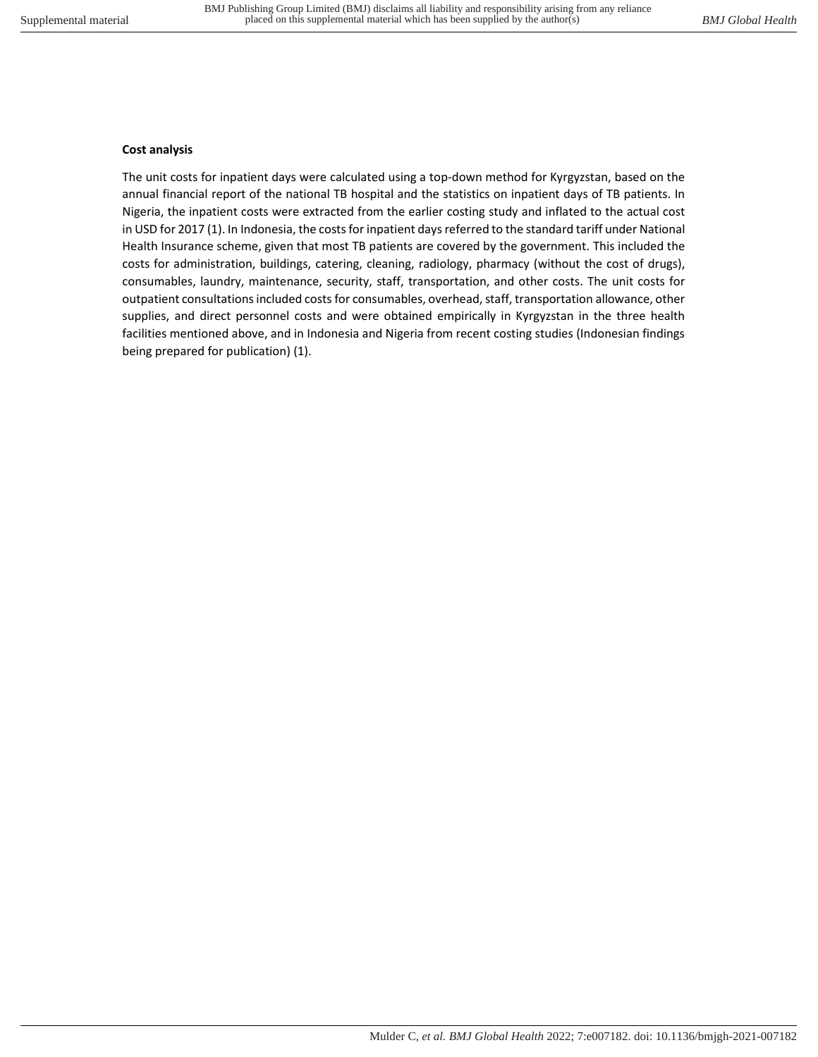#### **Cost analysis**

The unit costs for inpatient days were calculated using a top-down method for Kyrgyzstan, based on the annual financial report of the national TB hospital and the statistics on inpatient days of TB patients. In Nigeria, the inpatient costs were extracted from the earlier costing study and inflated to the actual cost in USD for 2017 (1). In Indonesia, the costs for inpatient days referred to the standard tariff under National Health Insurance scheme, given that most TB patients are covered by the government. This included the costs for administration, buildings, catering, cleaning, radiology, pharmacy (without the cost of drugs), consumables, laundry, maintenance, security, staff, transportation, and other costs. The unit costs for outpatient consultations included costs for consumables, overhead, staff, transportation allowance, other supplies, and direct personnel costs and were obtained empirically in Kyrgyzstan in the three health facilities mentioned above, and in Indonesia and Nigeria from recent costing studies (Indonesian findings being prepared for publication) (1).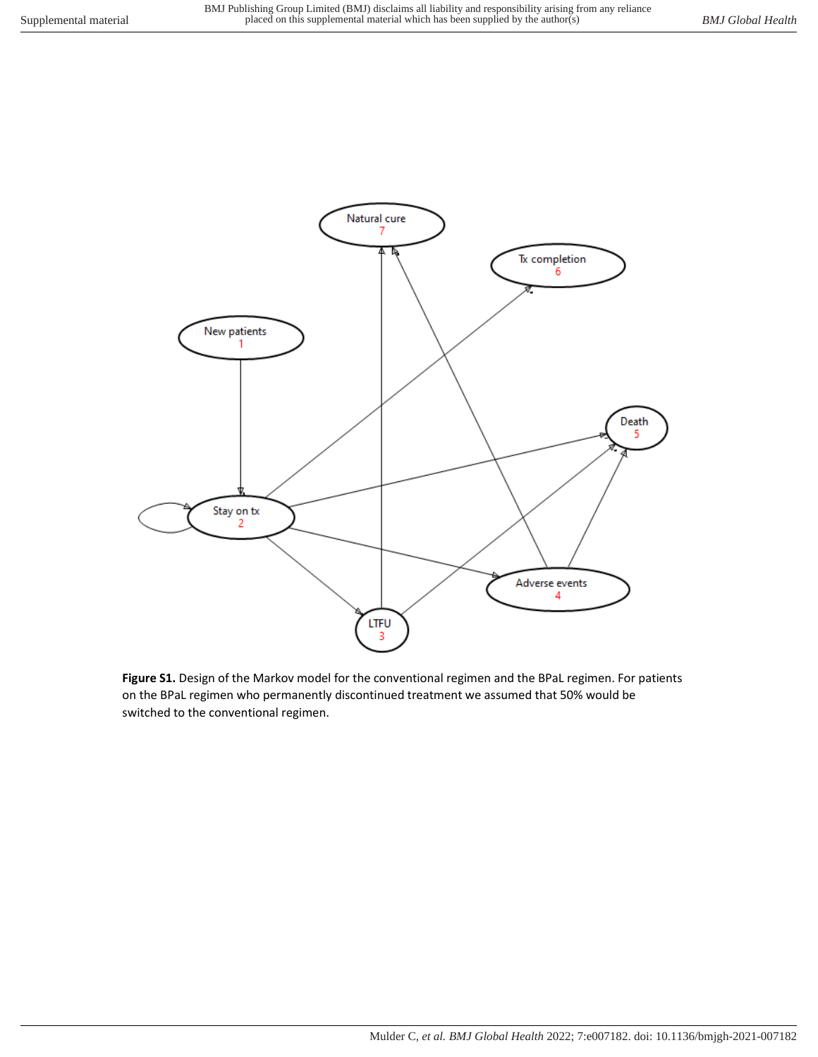

**Figure S1.** Design of the Markov model for the conventional regimen and the BPaL regimen. For patients on the BPaL regimen who permanently discontinued treatment we assumed that 50% would be switched to the conventional regimen.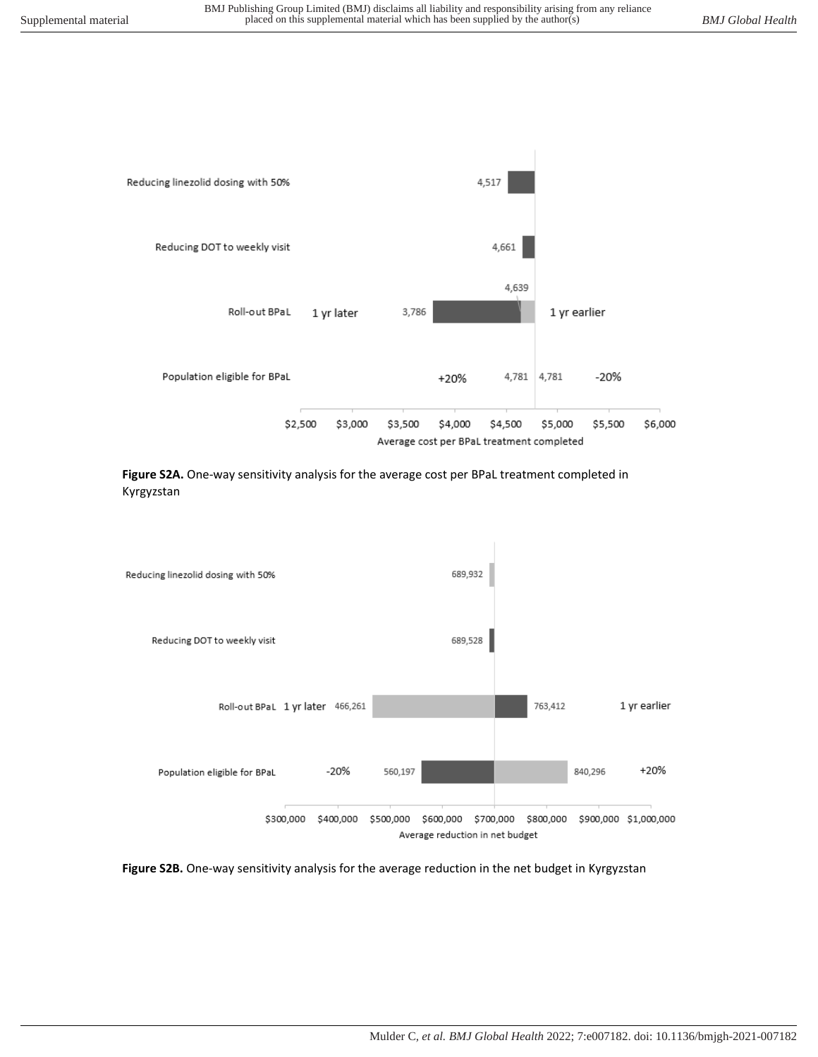

**Figure S2A.** One-way sensitivity analysis for the average cost per BPaL treatment completed in Kyrgyzstan



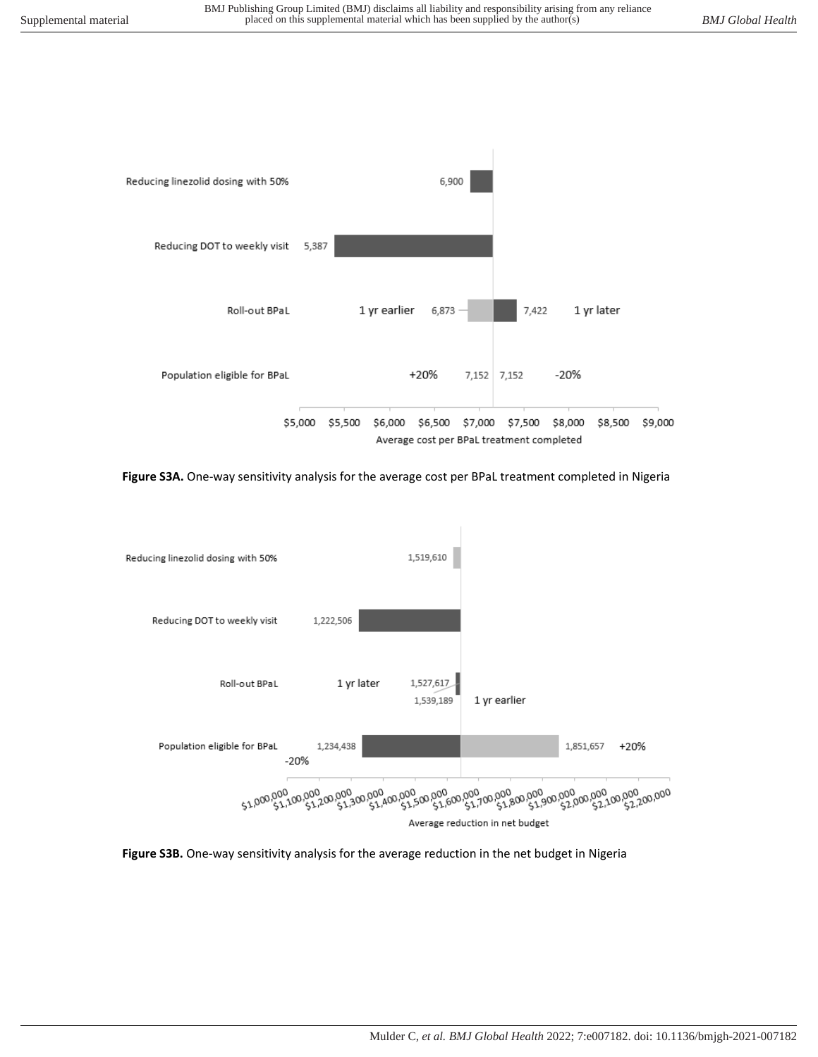

**Figure S3A.** One-way sensitivity analysis for the average cost per BPaL treatment completed in Nigeria



**Figure S3B.** One-way sensitivity analysis for the average reduction in the net budget in Nigeria